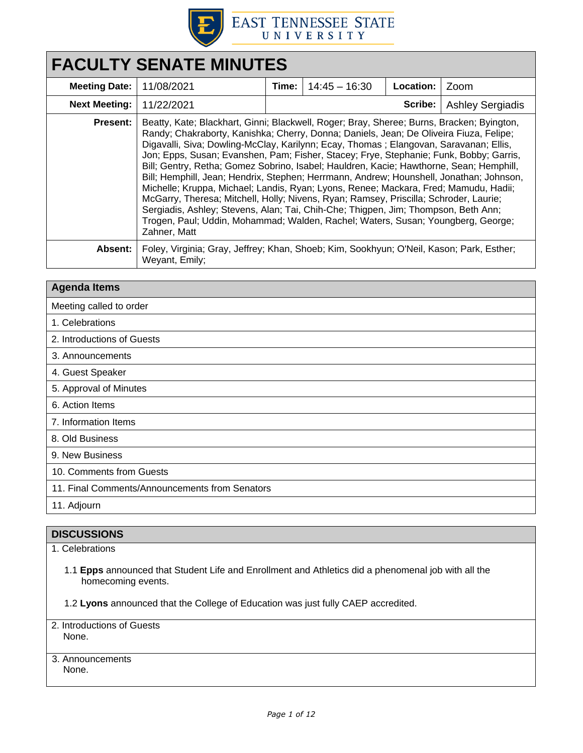

# **FACULTY SENATE MINUTES Meeting Date:** 11/08/2021 **Time:** 14:45 – 16:30 **Location:** Zoom **Next Meeting:** | 11/22/2021 | **Scribe:** | Ashley Sergiadis **Present:** Beatty, Kate; Blackhart, Ginni; Blackwell, Roger; Bray, Sheree; Burns, Bracken; Byington, Randy; Chakraborty, Kanishka; Cherry, Donna; Daniels, Jean; De Oliveira Fiuza, Felipe; Digavalli, Siva; Dowling-McClay, Karilynn; Ecay, Thomas ; Elangovan, Saravanan; Ellis, Jon; Epps, Susan; Evanshen, Pam; Fisher, Stacey; Frye, Stephanie; Funk, Bobby; Garris, Bill; Gentry, Retha; Gomez Sobrino, Isabel; Hauldren, Kacie; Hawthorne, Sean; Hemphill, Bill; Hemphill, Jean; Hendrix, Stephen; Herrmann, Andrew; Hounshell, Jonathan; Johnson, Michelle; Kruppa, Michael; Landis, Ryan; Lyons, Renee; Mackara, Fred; Mamudu, Hadii; McGarry, Theresa; Mitchell, Holly; Nivens, Ryan; Ramsey, Priscilla; Schroder, Laurie; Sergiadis, Ashley; Stevens, Alan; Tai, Chih-Che; Thigpen, Jim; Thompson, Beth Ann; Trogen, Paul; Uddin, Mohammad; Walden, Rachel; Waters, Susan; Youngberg, George; Zahner, Matt **Absent:** Foley, Virginia; Gray, Jeffrey; Khan, Shoeb; Kim, Sookhyun; O'Neil, Kason; Park, Esther; Weyant, Emily;

| <b>Agenda Items</b>                            |  |  |
|------------------------------------------------|--|--|
| Meeting called to order                        |  |  |
| 1. Celebrations                                |  |  |
| 2. Introductions of Guests                     |  |  |
| 3. Announcements                               |  |  |
| 4. Guest Speaker                               |  |  |
| 5. Approval of Minutes                         |  |  |
| 6. Action Items                                |  |  |
| 7. Information Items                           |  |  |
| 8. Old Business                                |  |  |
| 9. New Business                                |  |  |
| 10. Comments from Guests                       |  |  |
| 11. Final Comments/Announcements from Senators |  |  |
| 11. Adjourn                                    |  |  |

# **DISCUSSIONS**

1. Celebrations

1.1 **Epps** announced that Student Life and Enrollment and Athletics did a phenomenal job with all the homecoming events.

1.2 **Lyons** announced that the College of Education was just fully CAEP accredited.

2. Introductions of Guests None.

3. Announcements None.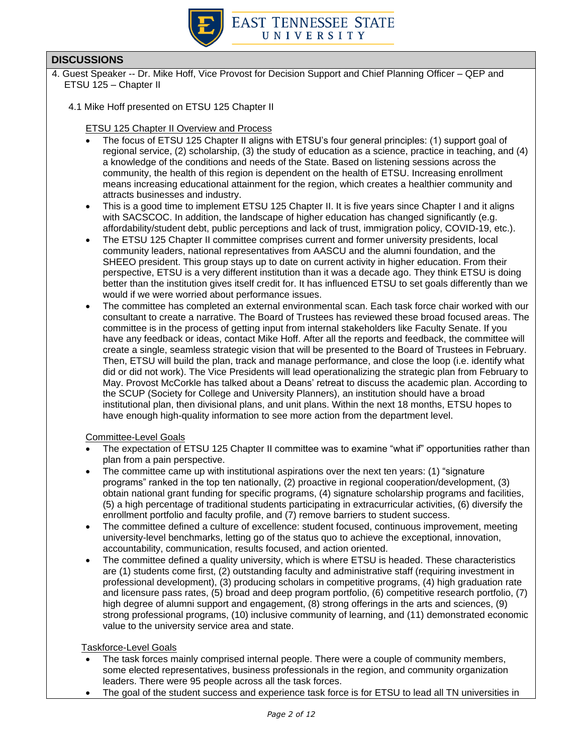

- 4. Guest Speaker -- Dr. Mike Hoff, Vice Provost for Decision Support and Chief Planning Officer QEP and ETSU 125 – Chapter II
	- 4.1 Mike Hoff presented on ETSU 125 Chapter II

#### ETSU 125 Chapter II Overview and Process

- The focus of ETSU 125 Chapter II aligns with ETSU's four general principles: (1) support goal of regional service, (2) scholarship, (3) the study of education as a science, practice in teaching, and (4) a knowledge of the conditions and needs of the State. Based on listening sessions across the community, the health of this region is dependent on the health of ETSU. Increasing enrollment means increasing educational attainment for the region, which creates a healthier community and attracts businesses and industry.
- This is a good time to implement ETSU 125 Chapter II. It is five years since Chapter I and it aligns with SACSCOC. In addition, the landscape of higher education has changed significantly (e.g. affordability/student debt, public perceptions and lack of trust, immigration policy, COVID-19, etc.).
- The ETSU 125 Chapter II committee comprises current and former university presidents, local community leaders, national representatives from AASCU and the alumni foundation, and the SHEEO president. This group stays up to date on current activity in higher education. From their perspective, ETSU is a very different institution than it was a decade ago. They think ETSU is doing better than the institution gives itself credit for. It has influenced ETSU to set goals differently than we would if we were worried about performance issues.
- The committee has completed an external environmental scan. Each task force chair worked with our consultant to create a narrative. The Board of Trustees has reviewed these broad focused areas. The committee is in the process of getting input from internal stakeholders like Faculty Senate. If you have any feedback or ideas, contact Mike Hoff. After all the reports and feedback, the committee will create a single, seamless strategic vision that will be presented to the Board of Trustees in February. Then, ETSU will build the plan, track and manage performance, and close the loop (i.e. identify what did or did not work). The Vice Presidents will lead operationalizing the strategic plan from February to May. Provost McCorkle has talked about a Deans' retreat to discuss the academic plan. According to the SCUP (Society for College and University Planners), an institution should have a broad institutional plan, then divisional plans, and unit plans. Within the next 18 months, ETSU hopes to have enough high-quality information to see more action from the department level.

Committee-Level Goals

- The expectation of ETSU 125 Chapter II committee was to examine "what if" opportunities rather than plan from a pain perspective.
- The committee came up with institutional aspirations over the next ten years: (1) "signature programs" ranked in the top ten nationally, (2) proactive in regional cooperation/development, (3) obtain national grant funding for specific programs, (4) signature scholarship programs and facilities, (5) a high percentage of traditional students participating in extracurricular activities, (6) diversify the enrollment portfolio and faculty profile, and (7) remove barriers to student success.
- The committee defined a culture of excellence: student focused, continuous improvement, meeting university-level benchmarks, letting go of the status quo to achieve the exceptional, innovation, accountability, communication, results focused, and action oriented.
- The committee defined a quality university, which is where ETSU is headed. These characteristics are (1) students come first, (2) outstanding faculty and administrative staff (requiring investment in professional development), (3) producing scholars in competitive programs, (4) high graduation rate and licensure pass rates, (5) broad and deep program portfolio, (6) competitive research portfolio, (7) high degree of alumni support and engagement, (8) strong offerings in the arts and sciences, (9) strong professional programs, (10) inclusive community of learning, and (11) demonstrated economic value to the university service area and state.

Taskforce-Level Goals

- The task forces mainly comprised internal people. There were a couple of community members, some elected representatives, business professionals in the region, and community organization leaders. There were 95 people across all the task forces.
- The goal of the student success and experience task force is for ETSU to lead all TN universities in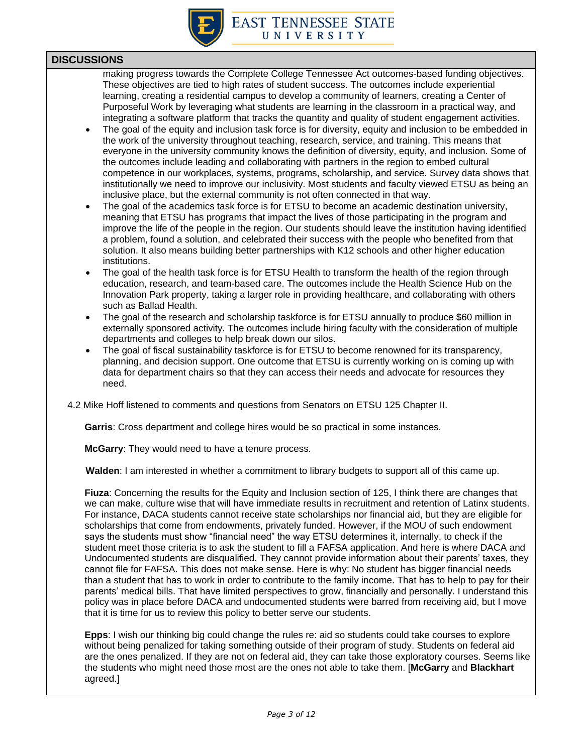

making progress towards the Complete College Tennessee Act outcomes-based funding objectives. These objectives are tied to high rates of student success. The outcomes include experiential learning, creating a residential campus to develop a community of learners, creating a Center of Purposeful Work by leveraging what students are learning in the classroom in a practical way, and integrating a software platform that tracks the quantity and quality of student engagement activities.

- The goal of the equity and inclusion task force is for diversity, equity and inclusion to be embedded in the work of the university throughout teaching, research, service, and training. This means that everyone in the university community knows the definition of diversity, equity, and inclusion. Some of the outcomes include leading and collaborating with partners in the region to embed cultural competence in our workplaces, systems, programs, scholarship, and service. Survey data shows that institutionally we need to improve our inclusivity. Most students and faculty viewed ETSU as being an inclusive place, but the external community is not often connected in that way.
- The goal of the academics task force is for ETSU to become an academic destination university, meaning that ETSU has programs that impact the lives of those participating in the program and improve the life of the people in the region. Our students should leave the institution having identified a problem, found a solution, and celebrated their success with the people who benefited from that solution. It also means building better partnerships with K12 schools and other higher education institutions.
- The goal of the health task force is for ETSU Health to transform the health of the region through education, research, and team-based care. The outcomes include the Health Science Hub on the Innovation Park property, taking a larger role in providing healthcare, and collaborating with others such as Ballad Health.
- The goal of the research and scholarship taskforce is for ETSU annually to produce \$60 million in externally sponsored activity. The outcomes include hiring faculty with the consideration of multiple departments and colleges to help break down our silos.
- The goal of fiscal sustainability taskforce is for ETSU to become renowned for its transparency, planning, and decision support. One outcome that ETSU is currently working on is coming up with data for department chairs so that they can access their needs and advocate for resources they need.

4.2 Mike Hoff listened to comments and questions from Senators on ETSU 125 Chapter II.

**Garris**: Cross department and college hires would be so practical in some instances.

**McGarry**: They would need to have a tenure process.

**Walden**: I am interested in whether a commitment to library budgets to support all of this came up.

**Fiuza**: Concerning the results for the Equity and Inclusion section of 125, I think there are changes that we can make, culture wise that will have immediate results in recruitment and retention of Latinx students. For instance, DACA students cannot receive state scholarships nor financial aid, but they are eligible for scholarships that come from endowments, privately funded. However, if the MOU of such endowment says the students must show "financial need" the way ETSU determines it, internally, to check if the student meet those criteria is to ask the student to fill a FAFSA application. And here is where DACA and Undocumented students are disqualified. They cannot provide information about their parents' taxes, they cannot file for FAFSA. This does not make sense. Here is why: No student has bigger financial needs than a student that has to work in order to contribute to the family income. That has to help to pay for their parents' medical bills. That have limited perspectives to grow, financially and personally. I understand this policy was in place before DACA and undocumented students were barred from receiving aid, but I move that it is time for us to review this policy to better serve our students.

**Epps**: I wish our thinking big could change the rules re: aid so students could take courses to explore without being penalized for taking something outside of their program of study. Students on federal aid are the ones penalized. If they are not on federal aid, they can take those exploratory courses. Seems like the students who might need those most are the ones not able to take them. [**McGarry** and **Blackhart** agreed.]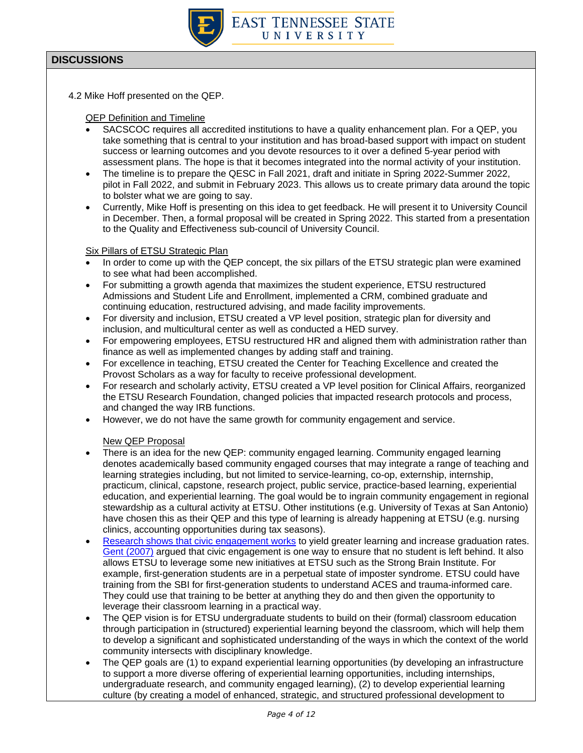

4.2 Mike Hoff presented on the QEP.

QEP Definition and Timeline

- SACSCOC requires all accredited institutions to have a quality enhancement plan. For a QEP, you take something that is central to your institution and has broad-based support with impact on student success or learning outcomes and you devote resources to it over a defined 5-year period with assessment plans. The hope is that it becomes integrated into the normal activity of your institution.
- The timeline is to prepare the QESC in Fall 2021, draft and initiate in Spring 2022-Summer 2022, pilot in Fall 2022, and submit in February 2023. This allows us to create primary data around the topic to bolster what we are going to say.
- Currently, Mike Hoff is presenting on this idea to get feedback. He will present it to University Council in December. Then, a formal proposal will be created in Spring 2022. This started from a presentation to the Quality and Effectiveness sub-council of University Council.

#### Six Pillars of ETSU Strategic Plan

- In order to come up with the QEP concept, the six pillars of the ETSU strategic plan were examined to see what had been accomplished.
- For submitting a growth agenda that maximizes the student experience, ETSU restructured Admissions and Student Life and Enrollment, implemented a CRM, combined graduate and continuing education, restructured advising, and made facility improvements.
- For diversity and inclusion, ETSU created a VP level position, strategic plan for diversity and inclusion, and multicultural center as well as conducted a HED survey.
- For empowering employees, ETSU restructured HR and aligned them with administration rather than finance as well as implemented changes by adding staff and training.
- For excellence in teaching, ETSU created the Center for Teaching Excellence and created the Provost Scholars as a way for faculty to receive professional development.
- For research and scholarly activity, ETSU created a VP level position for Clinical Affairs, reorganized the ETSU Research Foundation, changed policies that impacted research protocols and process, and changed the way IRB functions.
- However, we do not have the same growth for community engagement and service.

### New QEP Proposal

- There is an idea for the new QEP: community engaged learning. Community engaged learning denotes academically based community engaged courses that may integrate a range of teaching and learning strategies including, but not limited to service-learning, co-op, externship, internship, practicum, clinical, capstone, research project, public service, practice-based learning, experiential education, and experiential learning. The goal would be to ingrain community engagement in regional stewardship as a cultural activity at ETSU. Other institutions (e.g. University of Texas at San Antonio) have chosen this as their QEP and this type of learning is already happening at ETSU (e.g. nursing clinics, accounting opportunities during tax seasons).
- [Research shows that civic engagement works](https://www.aacu.org/publications-research/periodicals/civic-engagement-and-student-success-leveraging-multiple-degrees) to yield greater learning and increase graduation rates. [Gent \(2007\)](http://hdl.handle.net/2027/spo.3239521.0013.206) argued that civic engagement is one way to ensure that no student is left behind. It also allows ETSU to leverage some new initiatives at ETSU such as the Strong Brain Institute. For example, first-generation students are in a perpetual state of imposter syndrome. ETSU could have training from the SBI for first-generation students to understand ACES and trauma-informed care. They could use that training to be better at anything they do and then given the opportunity to leverage their classroom learning in a practical way.
- The QEP vision is for ETSU undergraduate students to build on their (formal) classroom education through participation in (structured) experiential learning beyond the classroom, which will help them to develop a significant and sophisticated understanding of the ways in which the context of the world community intersects with disciplinary knowledge.
- The QEP goals are (1) to expand experiential learning opportunities (by developing an infrastructure to support a more diverse offering of experiential learning opportunities, including internships, undergraduate research, and community engaged learning), (2) to develop experiential learning culture (by creating a model of enhanced, strategic, and structured professional development to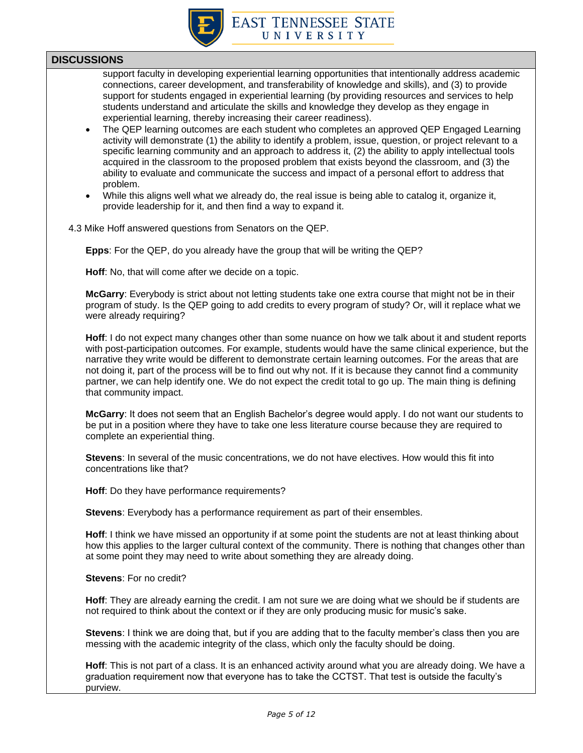

support faculty in developing experiential learning opportunities that intentionally address academic connections, career development, and transferability of knowledge and skills), and (3) to provide support for students engaged in experiential learning (by providing resources and services to help students understand and articulate the skills and knowledge they develop as they engage in experiential learning, thereby increasing their career readiness).

- The QEP learning outcomes are each student who completes an approved QEP Engaged Learning activity will demonstrate (1) the ability to identify a problem, issue, question, or project relevant to a specific learning community and an approach to address it, (2) the ability to apply intellectual tools acquired in the classroom to the proposed problem that exists beyond the classroom, and (3) the ability to evaluate and communicate the success and impact of a personal effort to address that problem.
- While this aligns well what we already do, the real issue is being able to catalog it, organize it, provide leadership for it, and then find a way to expand it.
- 4.3 Mike Hoff answered questions from Senators on the QEP.

**Epps**: For the QEP, do you already have the group that will be writing the QEP?

**Hoff**: No, that will come after we decide on a topic.

**McGarry**: Everybody is strict about not letting students take one extra course that might not be in their program of study. Is the QEP going to add credits to every program of study? Or, will it replace what we were already requiring?

**Hoff**: I do not expect many changes other than some nuance on how we talk about it and student reports with post-participation outcomes. For example, students would have the same clinical experience, but the narrative they write would be different to demonstrate certain learning outcomes. For the areas that are not doing it, part of the process will be to find out why not. If it is because they cannot find a community partner, we can help identify one. We do not expect the credit total to go up. The main thing is defining that community impact.

**McGarry**: It does not seem that an English Bachelor's degree would apply. I do not want our students to be put in a position where they have to take one less literature course because they are required to complete an experiential thing.

**Stevens**: In several of the music concentrations, we do not have electives. How would this fit into concentrations like that?

**Hoff**: Do they have performance requirements?

**Stevens**: Everybody has a performance requirement as part of their ensembles.

**Hoff**: I think we have missed an opportunity if at some point the students are not at least thinking about how this applies to the larger cultural context of the community. There is nothing that changes other than at some point they may need to write about something they are already doing.

**Stevens**: For no credit?

**Hoff**: They are already earning the credit. I am not sure we are doing what we should be if students are not required to think about the context or if they are only producing music for music's sake.

**Stevens**: I think we are doing that, but if you are adding that to the faculty member's class then you are messing with the academic integrity of the class, which only the faculty should be doing.

**Hoff**: This is not part of a class. It is an enhanced activity around what you are already doing. We have a graduation requirement now that everyone has to take the CCTST. That test is outside the faculty's purview.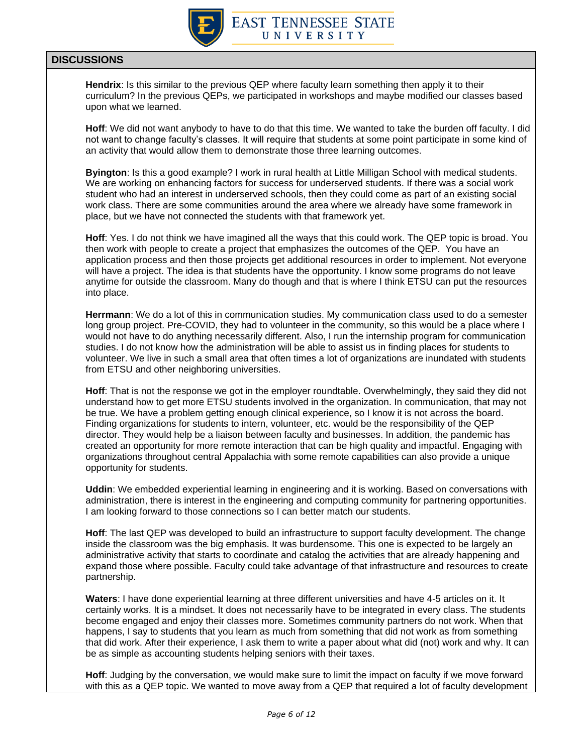

**Hendrix**: Is this similar to the previous QEP where faculty learn something then apply it to their curriculum? In the previous QEPs, we participated in workshops and maybe modified our classes based upon what we learned.

**Hoff**: We did not want anybody to have to do that this time. We wanted to take the burden off faculty. I did not want to change faculty's classes. It will require that students at some point participate in some kind of an activity that would allow them to demonstrate those three learning outcomes.

**Byington**: Is this a good example? I work in rural health at Little Milligan School with medical students. We are working on enhancing factors for success for underserved students. If there was a social work student who had an interest in underserved schools, then they could come as part of an existing social work class. There are some communities around the area where we already have some framework in place, but we have not connected the students with that framework yet.

**Hoff**: Yes. I do not think we have imagined all the ways that this could work. The QEP topic is broad. You then work with people to create a project that emphasizes the outcomes of the QEP. You have an application process and then those projects get additional resources in order to implement. Not everyone will have a project. The idea is that students have the opportunity. I know some programs do not leave anytime for outside the classroom. Many do though and that is where I think ETSU can put the resources into place.

**Herrmann**: We do a lot of this in communication studies. My communication class used to do a semester long group project. Pre-COVID, they had to volunteer in the community, so this would be a place where I would not have to do anything necessarily different. Also, I run the internship program for communication studies. I do not know how the administration will be able to assist us in finding places for students to volunteer. We live in such a small area that often times a lot of organizations are inundated with students from ETSU and other neighboring universities.

**Hoff**: That is not the response we got in the employer roundtable. Overwhelmingly, they said they did not understand how to get more ETSU students involved in the organization. In communication, that may not be true. We have a problem getting enough clinical experience, so I know it is not across the board. Finding organizations for students to intern, volunteer, etc. would be the responsibility of the QEP director. They would help be a liaison between faculty and businesses. In addition, the pandemic has created an opportunity for more remote interaction that can be high quality and impactful. Engaging with organizations throughout central Appalachia with some remote capabilities can also provide a unique opportunity for students.

**Uddin**: We embedded experiential learning in engineering and it is working. Based on conversations with administration, there is interest in the engineering and computing community for partnering opportunities. I am looking forward to those connections so I can better match our students.

**Hoff**: The last QEP was developed to build an infrastructure to support faculty development. The change inside the classroom was the big emphasis. It was burdensome. This one is expected to be largely an administrative activity that starts to coordinate and catalog the activities that are already happening and expand those where possible. Faculty could take advantage of that infrastructure and resources to create partnership.

**Waters**: I have done experiential learning at three different universities and have 4-5 articles on it. It certainly works. It is a mindset. It does not necessarily have to be integrated in every class. The students become engaged and enjoy their classes more. Sometimes community partners do not work. When that happens, I say to students that you learn as much from something that did not work as from something that did work. After their experience, I ask them to write a paper about what did (not) work and why. It can be as simple as accounting students helping seniors with their taxes.

**Hoff**: Judging by the conversation, we would make sure to limit the impact on faculty if we move forward with this as a QEP topic. We wanted to move away from a QEP that required a lot of faculty development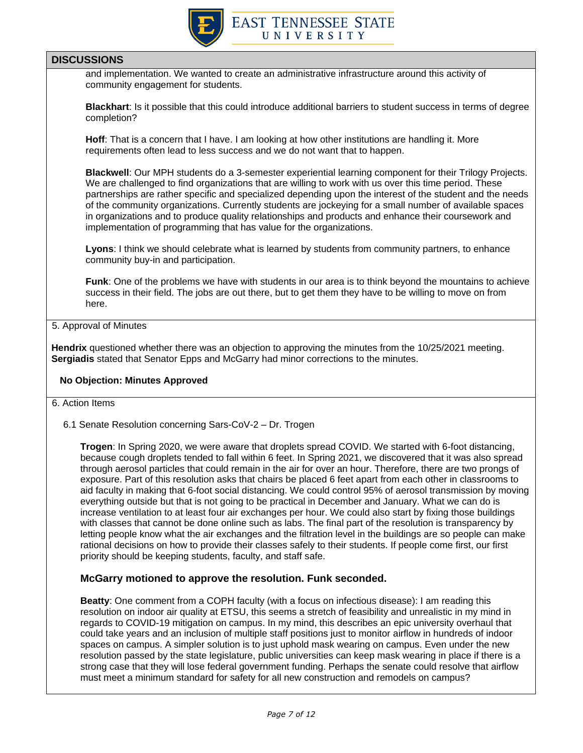

and implementation. We wanted to create an administrative infrastructure around this activity of community engagement for students.

**Blackhart**: Is it possible that this could introduce additional barriers to student success in terms of degree completion?

**Hoff**: That is a concern that I have. I am looking at how other institutions are handling it. More requirements often lead to less success and we do not want that to happen.

**Blackwell**: Our MPH students do a 3-semester experiential learning component for their Trilogy Projects. We are challenged to find organizations that are willing to work with us over this time period. These partnerships are rather specific and specialized depending upon the interest of the student and the needs of the community organizations. Currently students are jockeying for a small number of available spaces in organizations and to produce quality relationships and products and enhance their coursework and implementation of programming that has value for the organizations.

**Lyons**: I think we should celebrate what is learned by students from community partners, to enhance community buy-in and participation.

**Funk**: One of the problems we have with students in our area is to think beyond the mountains to achieve success in their field. The jobs are out there, but to get them they have to be willing to move on from here.

### 5. Approval of Minutes

**Hendrix** questioned whether there was an objection to approving the minutes from the 10/25/2021 meeting. **Sergiadis** stated that Senator Epps and McGarry had minor corrections to the minutes.

#### **No Objection: Minutes Approved**

- 6. Action Items
	- 6.1 Senate Resolution concerning Sars-CoV-2 Dr. Trogen

**Trogen**: In Spring 2020, we were aware that droplets spread COVID. We started with 6-foot distancing, because cough droplets tended to fall within 6 feet. In Spring 2021, we discovered that it was also spread through aerosol particles that could remain in the air for over an hour. Therefore, there are two prongs of exposure. Part of this resolution asks that chairs be placed 6 feet apart from each other in classrooms to aid faculty in making that 6-foot social distancing. We could control 95% of aerosol transmission by moving everything outside but that is not going to be practical in December and January. What we can do is increase ventilation to at least four air exchanges per hour. We could also start by fixing those buildings with classes that cannot be done online such as labs. The final part of the resolution is transparency by letting people know what the air exchanges and the filtration level in the buildings are so people can make rational decisions on how to provide their classes safely to their students. If people come first, our first priority should be keeping students, faculty, and staff safe.

### **McGarry motioned to approve the resolution. Funk seconded.**

**Beatty**: One comment from a COPH faculty (with a focus on infectious disease): I am reading this resolution on indoor air quality at ETSU, this seems a stretch of feasibility and unrealistic in my mind in regards to COVID-19 mitigation on campus. In my mind, this describes an epic university overhaul that could take years and an inclusion of multiple staff positions just to monitor airflow in hundreds of indoor spaces on campus. A simpler solution is to just uphold mask wearing on campus. Even under the new resolution passed by the state legislature, public universities can keep mask wearing in place if there is a strong case that they will lose federal government funding. Perhaps the senate could resolve that airflow must meet a minimum standard for safety for all new construction and remodels on campus?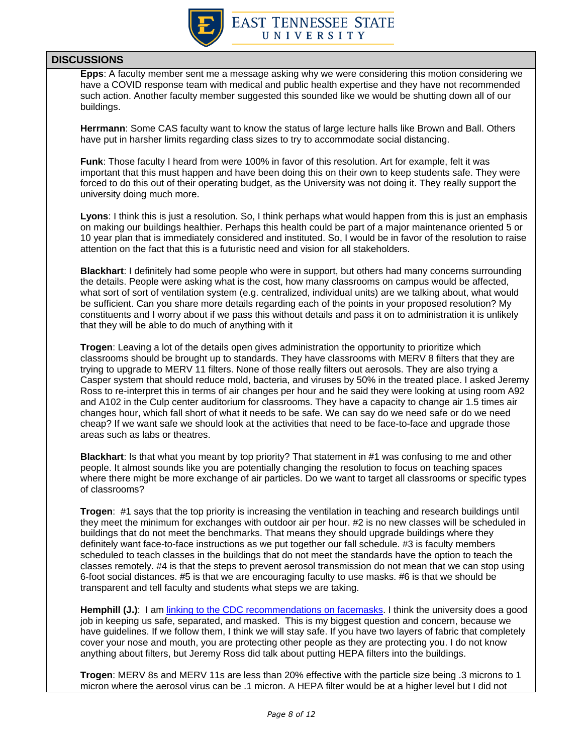

**Epps**: A faculty member sent me a message asking why we were considering this motion considering we have a COVID response team with medical and public health expertise and they have not recommended such action. Another faculty member suggested this sounded like we would be shutting down all of our buildings.

**Herrmann**: Some CAS faculty want to know the status of large lecture halls like Brown and Ball. Others have put in harsher limits regarding class sizes to try to accommodate social distancing.

**Funk**: Those faculty I heard from were 100% in favor of this resolution. Art for example, felt it was important that this must happen and have been doing this on their own to keep students safe. They were forced to do this out of their operating budget, as the University was not doing it. They really support the university doing much more.

**Lyons**: I think this is just a resolution. So, I think perhaps what would happen from this is just an emphasis on making our buildings healthier. Perhaps this health could be part of a major maintenance oriented 5 or 10 year plan that is immediately considered and instituted. So, I would be in favor of the resolution to raise attention on the fact that this is a futuristic need and vision for all stakeholders.

**Blackhart**: I definitely had some people who were in support, but others had many concerns surrounding the details. People were asking what is the cost, how many classrooms on campus would be affected, what sort of sort of ventilation system (e.g. centralized, individual units) are we talking about, what would be sufficient. Can you share more details regarding each of the points in your proposed resolution? My constituents and I worry about if we pass this without details and pass it on to administration it is unlikely that they will be able to do much of anything with it

**Trogen**: Leaving a lot of the details open gives administration the opportunity to prioritize which classrooms should be brought up to standards. They have classrooms with MERV 8 filters that they are trying to upgrade to MERV 11 filters. None of those really filters out aerosols. They are also trying a Casper system that should reduce mold, bacteria, and viruses by 50% in the treated place. I asked Jeremy Ross to re-interpret this in terms of air changes per hour and he said they were looking at using room A92 and A102 in the Culp center auditorium for classrooms. They have a capacity to change air 1.5 times air changes hour, which fall short of what it needs to be safe. We can say do we need safe or do we need cheap? If we want safe we should look at the activities that need to be face-to-face and upgrade those areas such as labs or theatres.

**Blackhart**: Is that what you meant by top priority? That statement in #1 was confusing to me and other people. It almost sounds like you are potentially changing the resolution to focus on teaching spaces where there might be more exchange of air particles. Do we want to target all classrooms or specific types of classrooms?

**Trogen**: #1 says that the top priority is increasing the ventilation in teaching and research buildings until they meet the minimum for exchanges with outdoor air per hour. #2 is no new classes will be scheduled in buildings that do not meet the benchmarks. That means they should upgrade buildings where they definitely want face-to-face instructions as we put together our fall schedule. #3 is faculty members scheduled to teach classes in the buildings that do not meet the standards have the option to teach the classes remotely. #4 is that the steps to prevent aerosol transmission do not mean that we can stop using 6-foot social distances. #5 is that we are encouraging faculty to use masks. #6 is that we should be transparent and tell faculty and students what steps we are taking.

**Hemphill (J.)**: I am [linking to the CDC recommendations on](https://www.cdc.gov/coronavirus/2019-ncov/prevent-getting-sick/about-face-coverings.html) facemasks. I think the university does a good job in keeping us safe, separated, and masked. This is my biggest question and concern, because we have guidelines. If we follow them, I think we will stay safe. If you have two layers of fabric that completely cover your nose and mouth, you are protecting other people as they are protecting you. I do not know anything about filters, but Jeremy Ross did talk about putting HEPA filters into the buildings.

**Trogen**: MERV 8s and MERV 11s are less than 20% effective with the particle size being .3 microns to 1 micron where the aerosol virus can be .1 micron. A HEPA filter would be at a higher level but I did not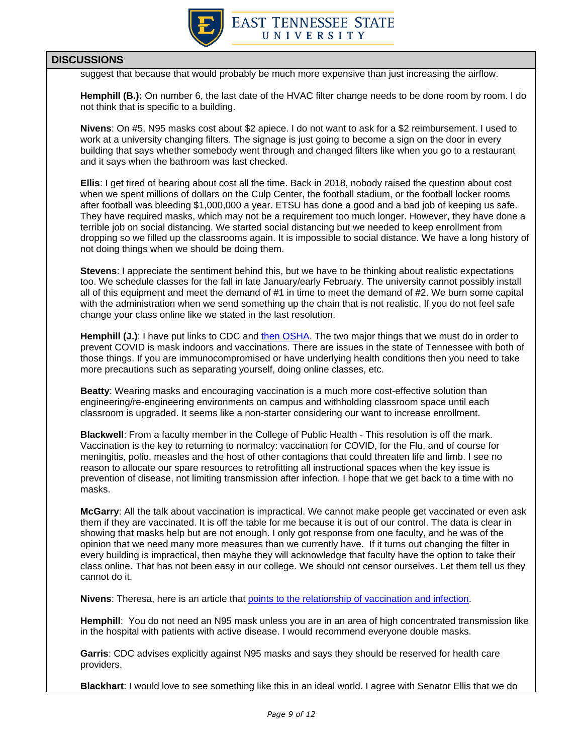

suggest that because that would probably be much more expensive than just increasing the airflow.

**Hemphill (B.):** On number 6, the last date of the HVAC filter change needs to be done room by room. I do not think that is specific to a building.

**Nivens**: On #5, N95 masks cost about \$2 apiece. I do not want to ask for a \$2 reimbursement. I used to work at a university changing filters. The signage is just going to become a sign on the door in every building that says whether somebody went through and changed filters like when you go to a restaurant and it says when the bathroom was last checked.

**Ellis**: I get tired of hearing about cost all the time. Back in 2018, nobody raised the question about cost when we spent millions of dollars on the Culp Center, the football stadium, or the football locker rooms after football was bleeding \$1,000,000 a year. ETSU has done a good and a bad job of keeping us safe. They have required masks, which may not be a requirement too much longer. However, they have done a terrible job on social distancing. We started social distancing but we needed to keep enrollment from dropping so we filled up the classrooms again. It is impossible to social distance. We have a long history of not doing things when we should be doing them.

**Stevens**: I appreciate the sentiment behind this, but we have to be thinking about realistic expectations too. We schedule classes for the fall in late January/early February. The university cannot possibly install all of this equipment and meet the demand of #1 in time to meet the demand of #2. We burn some capital with the administration when we send something up the chain that is not realistic. If you do not feel safe change your class online like we stated in the last resolution.

**Hemphill (J.)**: I have put links to CDC and [then OSHA.](https://www.osha.gov/coronavirus/safework) The two major things that we must do in order to prevent COVID is mask indoors and vaccinations. There are issues in the state of Tennessee with both of those things. If you are immunocompromised or have underlying health conditions then you need to take more precautions such as separating yourself, doing online classes, etc.

**Beatty**: Wearing masks and encouraging vaccination is a much more cost-effective solution than engineering/re-engineering environments on campus and withholding classroom space until each classroom is upgraded. It seems like a non-starter considering our want to increase enrollment.

**Blackwell**: From a faculty member in the College of Public Health - This resolution is off the mark. Vaccination is the key to returning to normalcy: vaccination for COVID, for the Flu, and of course for meningitis, polio, measles and the host of other contagions that could threaten life and limb. I see no reason to allocate our spare resources to retrofitting all instructional spaces when the key issue is prevention of disease, not limiting transmission after infection. I hope that we get back to a time with no masks.

**McGarry**: All the talk about vaccination is impractical. We cannot make people get vaccinated or even ask them if they are vaccinated. It is off the table for me because it is out of our control. The data is clear in showing that masks help but are not enough. I only got response from one faculty, and he was of the opinion that we need many more measures than we currently have. If it turns out changing the filter in every building is impractical, then maybe they will acknowledge that faculty have the option to take their class online. That has not been easy in our college. We should not censor ourselves. Let them tell us they cannot do it.

**Nivens**: Theresa, here is an article that [points to the relationship of vaccination and infection.](https://link.springer.com/article/10.1007/s10654-021-00808-7?fbclid=IwAR1vpDSweyxs3zk80LRkds61dI_Tnb1JRSQ_xL8_W6otj57JPvfo6m2m21k)

**Hemphill**: You do not need an N95 mask unless you are in an area of high concentrated transmission like in the hospital with patients with active disease. I would recommend everyone double masks.

**Garris**: CDC advises explicitly against N95 masks and says they should be reserved for health care providers.

**Blackhart**: I would love to see something like this in an ideal world. I agree with Senator Ellis that we do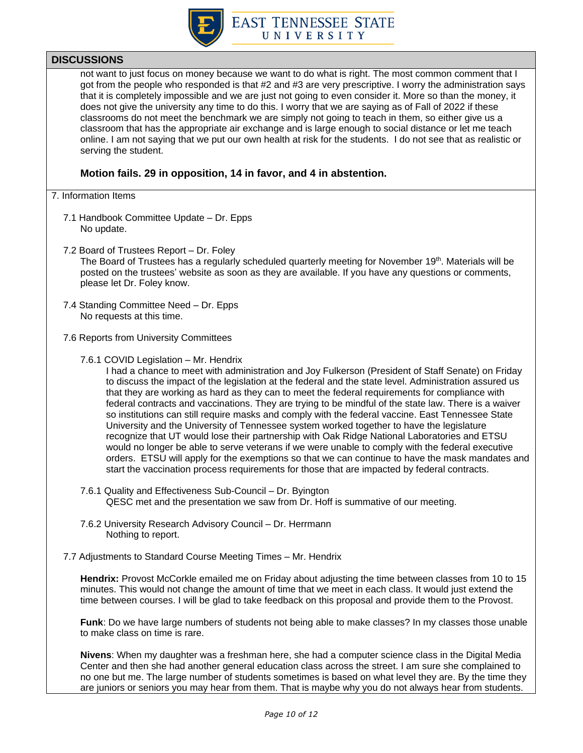

not want to just focus on money because we want to do what is right. The most common comment that I got from the people who responded is that #2 and #3 are very prescriptive. I worry the administration says that it is completely impossible and we are just not going to even consider it. More so than the money, it does not give the university any time to do this. I worry that we are saying as of Fall of 2022 if these classrooms do not meet the benchmark we are simply not going to teach in them, so either give us a classroom that has the appropriate air exchange and is large enough to social distance or let me teach online. I am not saying that we put our own health at risk for the students. I do not see that as realistic or serving the student.

### **Motion fails. 29 in opposition, 14 in favor, and 4 in abstention.**

#### 7. Information Items

- 7.1 Handbook Committee Update Dr. Epps No update.
- 7.2 Board of Trustees Report Dr. Foley

The Board of Trustees has a regularly scheduled quarterly meeting for November 19th. Materials will be posted on the trustees' website as soon as they are available. If you have any questions or comments, please let Dr. Foley know.

- 7.4 Standing Committee Need Dr. Epps No requests at this time.
- 7.6 Reports from University Committees
	- 7.6.1 COVID Legislation Mr. Hendrix

I had a chance to meet with administration and Joy Fulkerson (President of Staff Senate) on Friday to discuss the impact of the legislation at the federal and the state level. Administration assured us that they are working as hard as they can to meet the federal requirements for compliance with federal contracts and vaccinations. They are trying to be mindful of the state law. There is a waiver so institutions can still require masks and comply with the federal vaccine. East Tennessee State University and the University of Tennessee system worked together to have the legislature recognize that UT would lose their partnership with Oak Ridge National Laboratories and ETSU would no longer be able to serve veterans if we were unable to comply with the federal executive orders. ETSU will apply for the exemptions so that we can continue to have the mask mandates and start the vaccination process requirements for those that are impacted by federal contracts.

- 7.6.1 Quality and Effectiveness Sub-Council Dr. Byington QESC met and the presentation we saw from Dr. Hoff is summative of our meeting.
- 7.6.2 University Research Advisory Council Dr. Herrmann Nothing to report.
- 7.7 Adjustments to Standard Course Meeting Times Mr. Hendrix

**Hendrix:** Provost McCorkle emailed me on Friday about adjusting the time between classes from 10 to 15 minutes. This would not change the amount of time that we meet in each class. It would just extend the time between courses. I will be glad to take feedback on this proposal and provide them to the Provost.

**Funk**: Do we have large numbers of students not being able to make classes? In my classes those unable to make class on time is rare.

**Nivens**: When my daughter was a freshman here, she had a computer science class in the Digital Media Center and then she had another general education class across the street. I am sure she complained to no one but me. The large number of students sometimes is based on what level they are. By the time they are juniors or seniors you may hear from them. That is maybe why you do not always hear from students.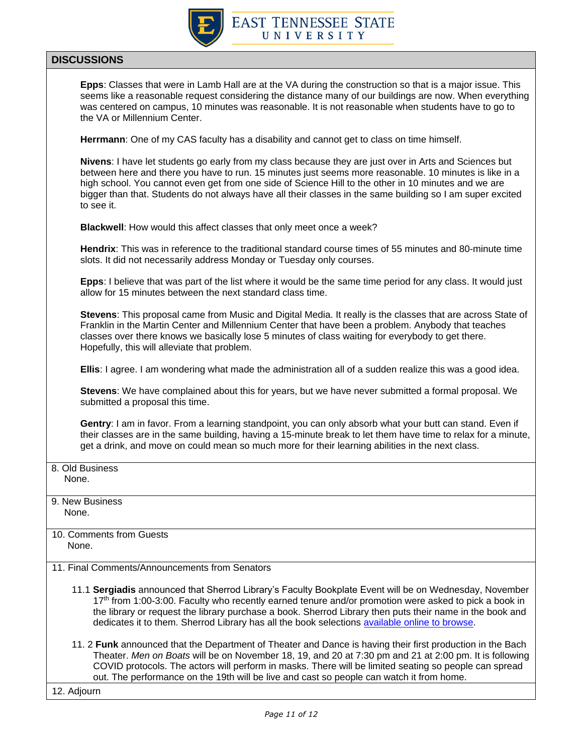

**Epps**: Classes that were in Lamb Hall are at the VA during the construction so that is a major issue. This seems like a reasonable request considering the distance many of our buildings are now. When everything was centered on campus, 10 minutes was reasonable. It is not reasonable when students have to go to the VA or Millennium Center.

**Herrmann**: One of my CAS faculty has a disability and cannot get to class on time himself.

**Nivens**: I have let students go early from my class because they are just over in Arts and Sciences but between here and there you have to run. 15 minutes just seems more reasonable. 10 minutes is like in a high school. You cannot even get from one side of Science Hill to the other in 10 minutes and we are bigger than that. Students do not always have all their classes in the same building so I am super excited to see it.

**Blackwell**: How would this affect classes that only meet once a week?

**Hendrix**: This was in reference to the traditional standard course times of 55 minutes and 80-minute time slots. It did not necessarily address Monday or Tuesday only courses.

**Epps**: I believe that was part of the list where it would be the same time period for any class. It would just allow for 15 minutes between the next standard class time.

**Stevens**: This proposal came from Music and Digital Media. It really is the classes that are across State of Franklin in the Martin Center and Millennium Center that have been a problem. Anybody that teaches classes over there knows we basically lose 5 minutes of class waiting for everybody to get there. Hopefully, this will alleviate that problem.

**Ellis**: I agree. I am wondering what made the administration all of a sudden realize this was a good idea.

**Stevens**: We have complained about this for years, but we have never submitted a formal proposal. We submitted a proposal this time.

**Gentry**: I am in favor. From a learning standpoint, you can only absorb what your butt can stand. Even if their classes are in the same building, having a 15-minute break to let them have time to relax for a minute, get a drink, and move on could mean so much more for their learning abilities in the next class.

8. Old Business None.

9. New Business None.

- 10. Comments from Guests None.
- 11. Final Comments/Announcements from Senators
	- 11.1 **Sergiadis** announced that Sherrod Library's Faculty Bookplate Event will be on Wednesday, November 17<sup>th</sup> from 1:00-3:00. Faculty who recently earned tenure and/or promotion were asked to pick a book in the library or request the library purchase a book. Sherrod Library then puts their name in the book and dedicates it to them. Sherrod Library has all the book selections [available online to browse.](https://libraries.etsu.edu/facultybookplate/home)
	- 11. 2 **Funk** announced that the Department of Theater and Dance is having their first production in the Bach Theater. *Men on Boats* will be on November 18, 19, and 20 at 7:30 pm and 21 at 2:00 pm. It is following COVID protocols. The actors will perform in masks. There will be limited seating so people can spread out. The performance on the 19th will be live and cast so people can watch it from home.

12. Adjourn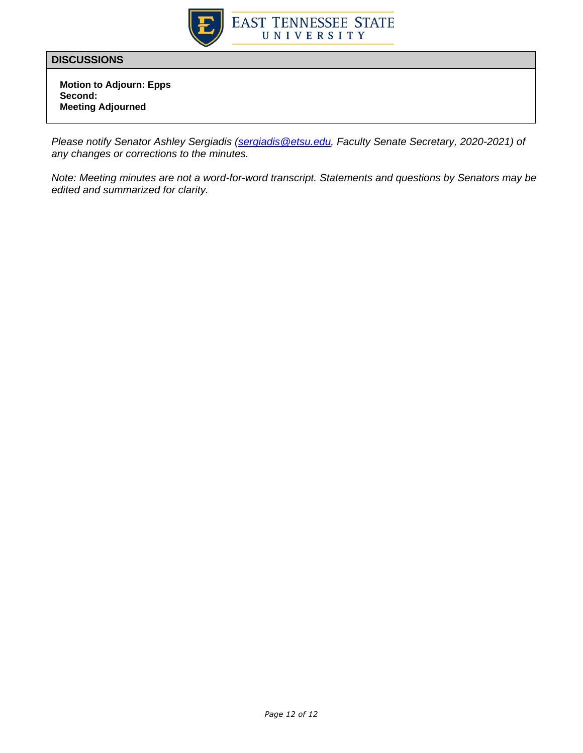

 **Motion to Adjourn: Epps Second: Meeting Adjourned**

*Please notify Senator Ashley Sergiadis [\(sergiadis@etsu.edu,](mailto:sergiadis@etsu.edu) Faculty Senate Secretary, 2020-2021) of any changes or corrections to the minutes.* 

*Note: Meeting minutes are not a word-for-word transcript. Statements and questions by Senators may be edited and summarized for clarity.*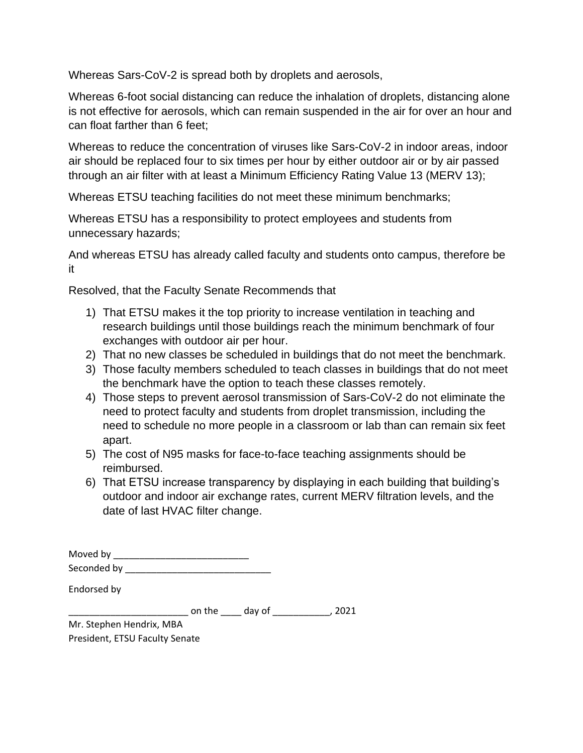Whereas Sars-CoV-2 is spread both by droplets and aerosols,

Whereas 6-foot social distancing can reduce the inhalation of droplets, distancing alone is not effective for aerosols, which can remain suspended in the air for over an hour and can float farther than 6 feet;

Whereas to reduce the concentration of viruses like Sars-CoV-2 in indoor areas, indoor air should be replaced four to six times per hour by either outdoor air or by air passed through an air filter with at least a Minimum Efficiency Rating Value 13 (MERV 13);

Whereas ETSU teaching facilities do not meet these minimum benchmarks;

Whereas ETSU has a responsibility to protect employees and students from unnecessary hazards;

And whereas ETSU has already called faculty and students onto campus, therefore be it

Resolved, that the Faculty Senate Recommends that

- 1) That ETSU makes it the top priority to increase ventilation in teaching and research buildings until those buildings reach the minimum benchmark of four exchanges with outdoor air per hour.
- 2) That no new classes be scheduled in buildings that do not meet the benchmark.
- 3) Those faculty members scheduled to teach classes in buildings that do not meet the benchmark have the option to teach these classes remotely.
- 4) Those steps to prevent aerosol transmission of Sars-CoV-2 do not eliminate the need to protect faculty and students from droplet transmission, including the need to schedule no more people in a classroom or lab than can remain six feet apart.
- 5) The cost of N95 masks for face-to-face teaching assignments should be reimbursed.
- 6) That ETSU increase transparency by displaying in each building that building's outdoor and indoor air exchange rates, current MERV filtration levels, and the date of last HVAC filter change.

|             | Seconded by _____________ |  |
|-------------|---------------------------|--|
| Endorsed by |                           |  |

\_\_\_\_\_\_\_\_\_\_\_\_\_\_\_\_\_\_\_\_\_\_\_ on the \_\_\_\_ day of \_\_\_\_\_\_\_\_\_\_\_, 2021

Mr. Stephen Hendrix, MBA President, ETSU Faculty Senate